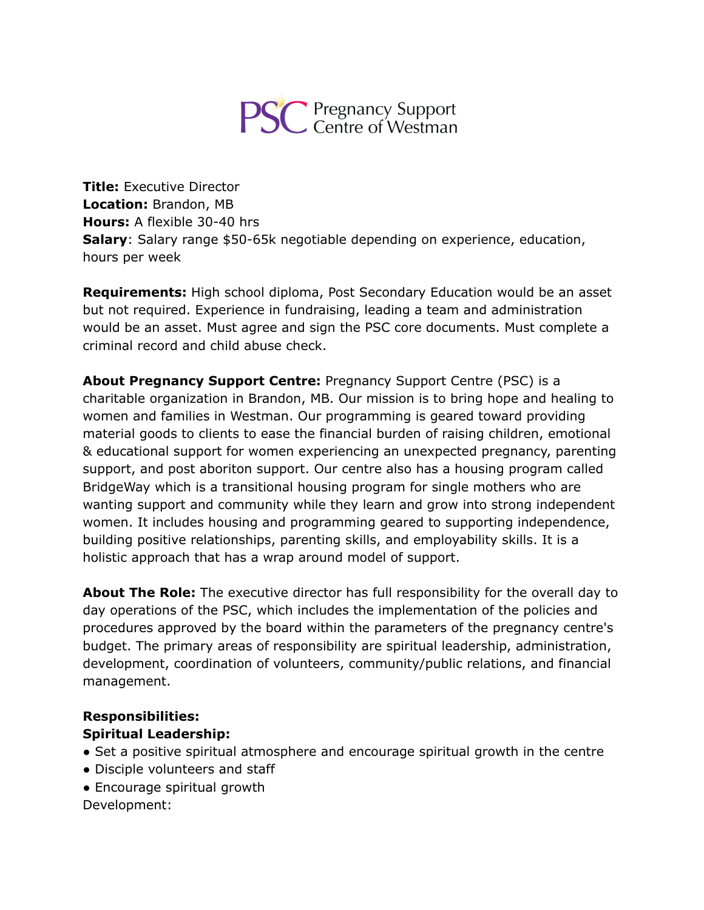

**Title:** Executive Director **Location:** Brandon, MB **Hours:** A flexible 30-40 hrs **Salary**: Salary range \$50-65k negotiable depending on experience, education, hours per week

**Requirements:** High school diploma, Post Secondary Education would be an asset but not required. Experience in fundraising, leading a team and administration would be an asset. Must agree and sign the PSC core documents. Must complete a criminal record and child abuse check.

**About Pregnancy Support Centre:** Pregnancy Support Centre (PSC) is a charitable organization in Brandon, MB. Our mission is to bring hope and healing to women and families in Westman. Our programming is geared toward providing material goods to clients to ease the financial burden of raising children, emotional & educational support for women experiencing an unexpected pregnancy, parenting support, and post aboriton support. Our centre also has a housing program called BridgeWay which is a transitional housing program for single mothers who are wanting support and community while they learn and grow into strong independent women. It includes housing and programming geared to supporting independence, building positive relationships, parenting skills, and employability skills. It is a holistic approach that has a wrap around model of support.

**About The Role:** The executive director has full responsibility for the overall day to day operations of the PSC, which includes the implementation of the policies and procedures approved by the board within the parameters of the pregnancy centre's budget. The primary areas of responsibility are spiritual leadership, administration, development, coordination of volunteers, community/public relations, and financial management.

### **Responsibilities: Spiritual Leadership:**

- Set a positive spiritual atmosphere and encourage spiritual growth in the centre
- Disciple volunteers and staff
- Encourage spiritual growth

Development: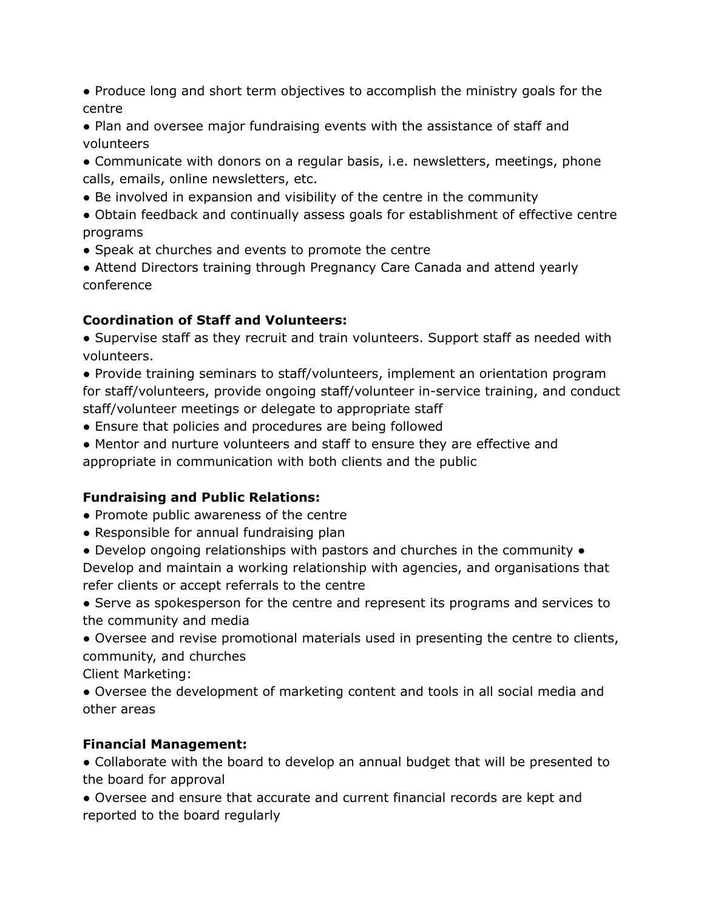- Produce long and short term objectives to accomplish the ministry goals for the centre
- Plan and oversee major fundraising events with the assistance of staff and volunteers
- Communicate with donors on a regular basis, i.e. newsletters, meetings, phone calls, emails, online newsletters, etc.
- Be involved in expansion and visibility of the centre in the community
- Obtain feedback and continually assess goals for establishment of effective centre programs
- Speak at churches and events to promote the centre
- Attend Directors training through Pregnancy Care Canada and attend yearly conference

### **Coordination of Staff and Volunteers:**

- Supervise staff as they recruit and train volunteers. Support staff as needed with volunteers.
- Provide training seminars to staff/volunteers, implement an orientation program for staff/volunteers, provide ongoing staff/volunteer in-service training, and conduct staff/volunteer meetings or delegate to appropriate staff
- Ensure that policies and procedures are being followed
- Mentor and nurture volunteers and staff to ensure they are effective and appropriate in communication with both clients and the public

# **Fundraising and Public Relations:**

- Promote public awareness of the centre
- Responsible for annual fundraising plan
- Develop ongoing relationships with pastors and churches in the community Develop and maintain a working relationship with agencies, and organisations that refer clients or accept referrals to the centre
- Serve as spokesperson for the centre and represent its programs and services to the community and media
- Oversee and revise promotional materials used in presenting the centre to clients, community, and churches

Client Marketing:

● Oversee the development of marketing content and tools in all social media and other areas

# **Financial Management:**

● Collaborate with the board to develop an annual budget that will be presented to the board for approval

● Oversee and ensure that accurate and current financial records are kept and reported to the board regularly